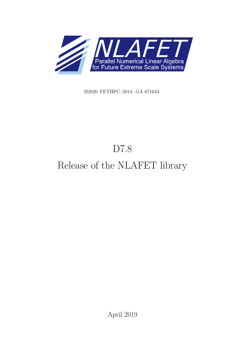<span id="page-0-0"></span>

H2020–FETHPC–2014: GA 671633

# D7.8

# Release of the NLAFET library

April 2019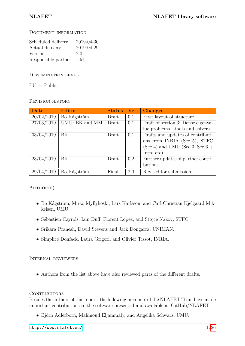#### Document information

| Scheduled delivery  | 2019-04-30 |
|---------------------|------------|
| Actual delivery     | 2019-04-29 |
| Version             | 2.0        |
| Responsible partner | UMU        |

Dissemination level

PU — Public

Revision history

| Date       | <b>Editor</b>  | <b>Status</b> | Ver.    | <b>Changes</b>                     |
|------------|----------------|---------------|---------|------------------------------------|
| 20/02/2019 | Bo Kågström    | Draft         | 0.1     | First layout of structure          |
| 27/03/2019 | UMU: BK and MM | Draft         | 0.1     | Draft of section 3: Dense eigenva- |
|            |                |               |         | lue problems—tools and solvers     |
| 03/04/2019 | BK             | Draft         | 0.1     | Drafts and updates of contributi-  |
|            |                |               |         | ons from INRIA (Sec 5), STFC       |
|            |                |               |         | (Sec 4) and UMU (Sec 3, Sec $6 +$  |
|            |                |               |         | Intro etc)                         |
| 23/04/2019 | BK             | Draft         | $0.2\,$ | Further updates of partner contri- |
|            |                |               |         | butions                            |
| 29/04/2019 | Bo Kågström    | Final         | 2.0     | Revised for submission             |

# $AUTHOR(S)$

- Bo Kågström, Mirko Myllykoski, Lars Karlsson, and Carl Christian Kjelgaard Mikkelsen, UMU.
- Sébastien Cayrols, Iain Duff, Florent Lopez, and Stojce Nakov, STFC.
- Srikara Pranesh, David Stevens and Jack Dongarra, UNIMAN.
- Simplice Donfack, Laura Grigori, and Olivier Tissot, INRIA.

Internal reviewers

• Authors from the list above have also reviewed parts of the different drafts.

#### CONTRIBUTORS

Besides the authors of this report, the following members of the NLAFET Team have made important contributions to the software presented and available at GitHub/NLAFET:

• Björn Adlerborn, Mahmoud Eljammaly, and Angelika Schwarz, UMU.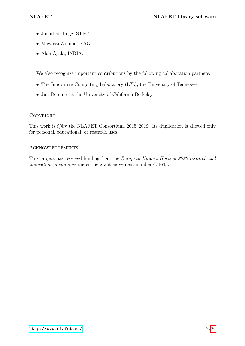- Jonathan Hogg, STFC.
- Mawussi Zounon, NAG.
- Alan Ayala, INRIA.

We also recognize important contributions by the following collaboration partners.

- The Innovative Computing Laboratory (ICL), the University of Tennessee.
- Jim Demmel at the University of California Berkeley.

#### **COPYRIGHT**

This work is C by the NLAFET Consortium, 2015–2019. Its duplication is allowed only for personal, educational, or research uses.

#### **ACKNOWLEDGEMENTS**

This project has received funding from the *European Union's Horizon 2020 research and innovation programme* under the grant agreement number 671633.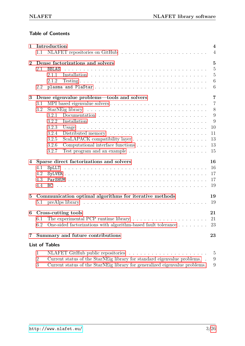# **Table of Contents**

| $\mathbf{1}$   | Introduction<br>1.1                                                                                                                                                                                                           | $\overline{4}$<br>$\overline{4}$                                              |
|----------------|-------------------------------------------------------------------------------------------------------------------------------------------------------------------------------------------------------------------------------|-------------------------------------------------------------------------------|
| $\mathbf{2}$   | Dense factorizations and solvers<br>2.1<br><b>BBLAS</b><br>2.1.1<br>2.1.2<br>plasma and PlaStar<br>2.2                                                                                                                        | $\overline{5}$<br>$\overline{5}$<br>$\overline{5}$<br>$\boldsymbol{6}$<br>6   |
| 3              | Dense eigenvalue problems—tools and solvers<br>3.1<br>3.2<br>3.2.1<br>3.2.2<br>3.2.3<br>Usage<br>3.2.4<br>3.2.5<br>3.2.6<br>Test program and an example $\ldots \ldots \ldots \ldots \ldots \ldots \ldots$<br>3.2.7           | $\overline{7}$<br>$\overline{7}$<br>8<br>9<br>9<br>10<br>11<br>13<br>13<br>15 |
| $\overline{4}$ | Sparse direct factorizations and solvers<br>4.1<br>4.2<br>4.3<br>4.4                                                                                                                                                          | 16<br>16<br>17<br>17<br>19                                                    |
| $\bf{5}$       | Communication optimal algorithms for iterative methods<br>preAlps library $\ldots \ldots \ldots \ldots \ldots \ldots \ldots \ldots \ldots \ldots \ldots \ldots$<br>5.1                                                        | 19<br>19                                                                      |
| 6              | Cross-cutting tools<br>The experimental PCP runtime library $\dots \dots \dots \dots \dots \dots \dots \dots$<br>6.1<br>6.2                                                                                                   | 21<br>21<br>23                                                                |
| 7              | Summary and future contributions                                                                                                                                                                                              | 23                                                                            |
|                | <b>List of Tables</b>                                                                                                                                                                                                         |                                                                               |
|                | NLAFET GitHub public repositories<br>1<br>.<br>$\overline{2}$<br>Current status of the StarNEig library for standard eigenvalue problems.<br>3<br>Current status of the StarNEig library for generalized eigenvalue problems. | $\overline{5}$<br>9<br>9                                                      |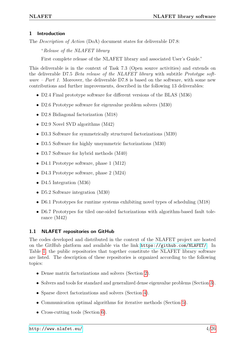#### <span id="page-4-0"></span>**1 Introduction**

The *Description of Action* (DoA) document states for deliverable D7.8:

"*Release of the NLAFET library*

First complete release of the NLAFET library and associated User's Guide."

This deliverable is in the context of Task 7.3 (Open source activities) and extends on the deliverable D7.5 *Beta release of the NLAFET library* with subtitle *Prototype software – Part 1*. Moreover, the deliverable D7.8 is based on the software, with some new contributions and further improvements, described in the following 13 deliverables:

- D2.4 Final prototype software for different versions of the BLAS (M36)
- D2.6 Prototype software for eigenvalue problem solvers (M30)
- D2.8 Bidiagonal factorization (M18)
- D2.9 Novel SVD algorithms (M42)
- D3.3 Software for symmetrically structured factorizations (M39)
- D3.5 Software for highly unsymmetric factorizations (M30)
- D3.7 Software for hybrid methods  $(M40)$
- D4.1 Prototype software, phase 1 (M12)
- D4.3 Prototype software, phase 2 (M24)
- D4.5 Integration (M36)
- D5.2 Software integration (M30)
- D6.1 Prototypes for runtime systems exhibiting novel types of scheduling (M18)
- D6.7 Prototypes for tiled one-sided factorizations with algorithm-based fault tolerance (M42)

#### <span id="page-4-1"></span>**1.1 NLAFET repositories on GitHub**

The codes developed and distributed in the context of the NLAFET project are hosted on the GitHub platform and available via the link <https://github.com/NLAFET/>. In Table [1,](#page-5-3) the public repositories that together constitute the NLAFET library software are listed. The description of these repositories is organized according to the following topics:

- Dense matrix factorizations and solvers (Section [2\)](#page-5-0).
- Solvers and tools for standard and generalized dense eigenvalue problems (Section [3\)](#page-7-0).
- Sparse direct factorizations and solvers (Section [4\)](#page-16-0).
- Communication optimal algorithms for iterative methods (Section [5\)](#page-19-1).
- Cross-cutting tools (Section [6\)](#page-21-0).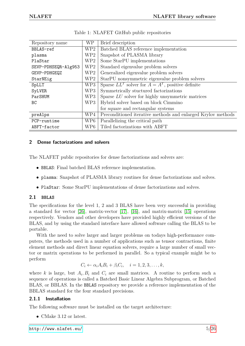<span id="page-5-3"></span>

| Repository name     | <b>WP</b>       | Brief description                                            |
|---------------------|-----------------|--------------------------------------------------------------|
| BBLAS-ref           | WP <sub>2</sub> | Batched BLAS reference implementation                        |
| plasma              | WP <sub>2</sub> | Snapshot of PLASMA library                                   |
| PlaStar             | WP <sub>2</sub> | Some StarPU implementations                                  |
| SEVP-PDHSEQR-Alg953 | WP <sub>2</sub> | Standard eigenvalue problem solvers                          |
| GEVP-PDHGEQZ        | WP <sub>2</sub> | Generalized eigenvalue problem solvers                       |
| StarNEig            | WP <sub>2</sub> | StarPU nonsymmetric eigenvalue problem solvers               |
| SpLLT               | WP <sub>3</sub> | Sparse $LL^T$ solver for $A = A^T$ , positive definite       |
| SyLVER              | WP <sub>3</sub> | Symmetrically stuctured factorizations                       |
| ParSHUM             | WP3             | Sparse LU solver for highly unsymmetric matrices             |
| BC.                 | WP3             | Hybrid solver based on block Cimmino                         |
|                     |                 | for square and rectangular systems                           |
| preAlps             | WP4             | Preconditioned iterative methods and enlarged Krylov methods |
| PCP-runtime         | WP <sub>6</sub> | Parallelizing the critical path                              |
| ABFT-factor         | WP <sub>6</sub> | Tiled factorizations with ABFT                               |

|  |  |  |  | Table 1: NLAFET GitHub public repositories |
|--|--|--|--|--------------------------------------------|
|--|--|--|--|--------------------------------------------|

#### <span id="page-5-0"></span>**2 Dense factorizations and solvers**

The NLAFET public repositories for dense factorizations and solvers are:

- BBLAS: Final batched BLAS reference implementation.
- plasma: Snapshot of PLASMA library routines for dense factorizations and solves.
- PlaStar: Some StarPU implementations of dense factorizations and solves.

#### <span id="page-5-1"></span>**2.1 BBLAS**

The specifications for the level 1, 2 and 3 BLAS have been very successful in providing a standard for vector [\[26\]](#page-26-1), matrix-vector [\[17\]](#page-25-0), [\[16\]](#page-25-1), and matrix-matrix [\[15\]](#page-25-2) operations respectively. Vendors and other developers have provided highly efficient versions of the BLAS, and by using the standard interface have allowed software calling the BLAS to be portable.

With the need to solve larger and larger problems on todays high-performance computers, the methods used in a number of applications such as tensor contractions, finite element methods and direct linear equation solvers, require a large number of small vector or matrix operations to be performed in parallel. So a typical example might be to perform

$$
C_i \leftarrow \alpha_i A_i B_i + \beta_i C_i, \quad i = 1, 2, 3, \dots, k,
$$

where *k* is large, but  $A_i, B_i$  and  $C_i$  are small matrices. A routine to perform such a sequence of operations is called a Batched Basic Linear Algebra Subprogram, or Batched BLAS, or BBLAS. In the BBLAS repository we provide a reference implementation of the BBLAS standard for the four standard precisions.

#### <span id="page-5-2"></span>**2.1.1 Installation**

The following software must be installed on the target architecture:

• CMake 3.12 or latest.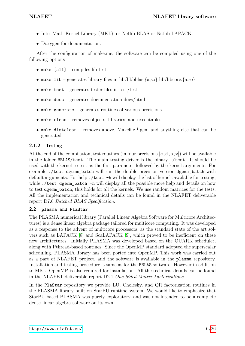- Intel Math Kernel Library (MKL), or Netlib BLAS or Netlib LAPACK.
- Doxygen for documentation.

After the configuration of make.inc, the software can be compiled using one of the following options

- make [all] compiles lib test
- make lib generates library files in lib/libbblas. $\{a, so\}$  lib/libcore. $\{a, so\}$
- make test generates tester files in test/test
- make  $\text{docs}$  generates documentation  $\text{docs}/\text{html}$
- $\bullet$  make generate generates routines of various precisions
- make clean removes objects, libraries, and executables
- make distclean removes above, Makefile.\*.gen, and anything else that can be generated

# <span id="page-6-0"></span>**2.1.2 Testing**

At the end of the compilation, test routines (in four precisions  $[c, d, s, z]$ ) will be available in the folder BBLAS/test. The main testing driver is the binary ./test. It should be used with the kernel to test as the first parameter followed by the kernel arguments. For example ./test dgemm batch will run the double precision version dgemm batch with default arguments. For help ./test -h will display the list of kernels available for testing, while ./test dgemm batch -h will display all the possible more help and details on how to test dgemm\_batch; this holds for all the kernels. We use random matrices for the tests. All the implementation and technical details can be found in the NLAFET deliverable report D7.6 *Batched BLAS Specification*.

# <span id="page-6-1"></span>**2.2 plasma and PlaStar**

The PLASMA numerical library (Parallel Linear Algebra Software for Multicore Architectures) is a dense linear algebra package tailored for multicore computing. It was developed as a response to the advent of multicore processors, as the standard state of the art solvers such as LAPACK [\[8\]](#page-24-0) and ScaLAPACK [\[9\]](#page-24-1), which proved to be inefficient on these new architectures. Initially PLASMA was developed based on the QUARK scheduler, along with Pthread-based routines. Since the OpenMP standard adopted the superscalar scheduling, PLASMA library has been ported into OpenMP. This work was carried out as a part of NLAFET project, and the software is available in the plasma repository. Installation and testing procedure is same as for the BBLAS software. However in addition to MKL, OpenMP is also required for installation. All the technical details can be found in the NLAFET deliverable report D2.1 *One-Sided Matrix Factorizations*.

In the PlaStar repository we provide LU, Cholesky, and QR factorization routines in the PLASMA library built on StarPU runtime system. We would like to emphasize that StarPU based PLASMA was purely exploratory, and was not intended to be a complete dense linear algebra software on its own.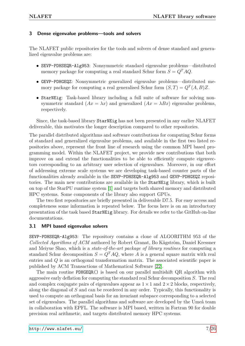### <span id="page-7-0"></span>**3 Dense eigenvalue problems—tools and solvers**

The NLAFET public repositories for the tools and solvers of dense standard and generalized eigenvalue problems are:

- SEVP-PDHSEQR-Alg953: Nonsymmetric standard eigenvalue problems—distributed memory package for computing a real standard Schur form  $S = Q<sup>T</sup> A Q$ .
- GEVP-PDHGEQZ: Nonsymmetric generalized eigenvalue problems—distributed memory package for computing a real generalised Schur form  $(S,T) = Q^T(A, B)Z$ .
- StarNEig: Task-based library including a full suite of software for solving nonsymmetric standard  $(Ax = \lambda x)$  and generalized  $(Ax = \lambda Bx)$  eigenvalue problems, respectively.

Since, the task-based library StarNEig has not been presented in any earlier NLAFET deliverable, this motivates the longer description compared to other repositories.

The parallel distributed algorithms and software contributions for computing Schur forms of standard and generalized eigenvalue problems, and available in the first two listed repositories above, represent the front line of research using the common MPI based programming model. Within the NLAFET project, we provide new contributions that both improve on and extend the functionalities to be able to efficiently compute eigenvectors corresponding to an arbitrary user selection of eigenvalues. Moreover, in our effort of addressing extreme scale systems we are developing task-based counter parts of the functionalities already available in the SEVP-PDHSEQR-Alg953 and GEVP-PDHGEQZ repositories. The main new contributions are available in the StarNEig library, which is built on top of the StarPU runtime system [\[1\]](#page-24-2) and targets both shared memory and distributed HPC systems. Some components of the library also support GPUs.

The two first repositories are briefly presented in deliverable D7.5. For easy access and completeness some information is repeated below. The focus here is on an introductory presentation of the task based StarNEig library. For details we refer to the GitHub on-line documentations.

#### <span id="page-7-1"></span>**3.1 MPI based eigenvalue solvers**

SEVP-PDHSEQR-Alg953: The repository contains a clone of ALGORITHM 953 of the *Collected Agorithms of ACM* authored by Robert Granat, Bo Kågström, Daniel Kressner and Meiyue Shao, which is a *state-of-the-art package of library routines* for computing a standard Schur decomposition  $S = Q<sup>T</sup> A Q$ , where *A* is a general square matrix with real entries and *Q* is an orthogonal transformation matrix. The associated scientific paper is published by ACM Transactions of Mathematical Software [\[22\]](#page-25-3).

The main routine PDHGEQR() is based on our parallel multishift QR algorithm with aggressive early deflation for computing the standard real Schur decomposition *S*. The real and complex conjugate pairs of eigenvalues appear as  $1 \times 1$  and  $2 \times 2$  blocks, respectively, along the diagonal of *S* and can be reordered in any order. Typically, this functionality is used to compute an orthogonal basis for an invariant subspace corresponding to a selected set of eigenvalues. The parallel algorithms and software are developed by the Umeå team in collaboration with EPFL. The software is MPI based, written in Fortran 90 for double precision real arithmetic, and targets distributed memory HPC systems.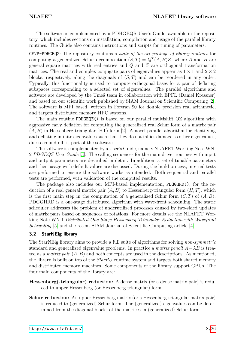The software is complemented by a PDHGEQR User's Guide, available in the repository, which includes sections on installation, compilation and usage of the parallel library routines. The Guide also contains instructions and scripts for tuning of parameters.

GEVP-PDHGEQZ: The repository contains a *state-of-the-art package of library routines* for computing a generalized Schur decomposition  $(S,T) = Q^T(A,B)Z$ , where *A* and *B* are general square matrices with real entries and *Q* and *Z* are orthogonal transformation matrices. The real and complex conjugate pairs of eigenvalues appear as  $1 \times 1$  and  $2 \times 2$ blocks, respectively, along the diagonals of (*S, T*) and can be reordered in any order. Typically, this functionality is used to compute orthogonal bases for a pair of deflating subspaces corresponding to a selected set of eigenvalues. The parallel algorithms and software are developed by the Umeå team in collaboration with EPFL (Daniel Kressner) and based on our scientific work published by SIAM Journal on Scientific Computing [\[2\]](#page-24-3). The software is MPI based, written in Fortran 90 for double precision real arithmetic, and targets distributed memory HPC systems.

The main routine PDHGEQZ() is based on our parallel multishift QZ algorithm with aggressive early deflation for computing the generalized real Schur form of a matrix pair  $(A, B)$  in Hessenberg-triangular (HT) form [\[2\]](#page-24-3). A novel parallel algorithm for identifying and deflating infinite eigenvalues such that they do not inflict damage to other eigenvalues, due to round-off, is part of the software.

The software is complemented by a User's Guide, namely NLAFET Working Note WN-2 *PDGEQZ User Guide* [\[3\]](#page-24-4). The calling sequences for the main driver routines with input and output parameters are described in detail. In addition, a set of tunable parameters and their usage with default values are discussed. During the build process, internal tests are performed to ensure the software works as intended. Both sequential and parallel tests are performed, with validation of the computed results.

The package also includes our MPI-based implementation, PDGGHRD(), for the reduction of a real general matrix pair  $(A, B)$  to Hessenberg-triangular form  $(H, T)$ , which is the first main step in the computation of a generalized Schur form (*S, T*) of (*A, B*). PDGGHRD is a one-stage distributed algorithm with wave-front scheduling. The static scheduler addresses the problem of underutilized processes caused by two-sided updates of matrix pairs based on sequences of rotations. For more details see the NLAFET Working Note WN-1 *Distributed One-Stage Hessenberg-Triangular Reduction with Wavefront Scheduling* [\[5\]](#page-24-5) and the recent SIAM Journal of Scientific Computing article [\[4\]](#page-24-6).

#### <span id="page-8-0"></span>**3.2 StarNEig library**

The StarNEig library aims to provide a full suite of algorithms for solving *non-symmetric* standard and generalized eigenvalue problems. In practice a *matrix pencil A*−*λB* is treated as a *matrix pair* (*A, B*) and both concepts are used in the descriptions. As mentioned, the library is built on top of the *StarPU* runtime system and targets both shared memory and distributed memory machines. Some components of the library support GPUs. The four main components of the library are:

- **Hessenberg(-triangular) reduction:** A dense matrix (or a dense matrix pair) is reduced to upper Hessenberg (or Hessenberg-triangular) form.
- **Schur reduction:** An upper Hessenberg matrix (or a Hessenberg-triangular matrix pair) is reduced to (generalized) Schur form. The (generalized) eigenvalues can be determined from the diagonal blocks of the matrices in (generalized) Schur form.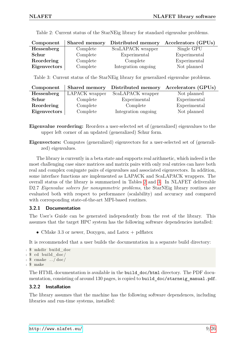| Component    |          | Shared memory Distributed memory | Accelerators (GPUs) |
|--------------|----------|----------------------------------|---------------------|
| Hessenberg   | Complete | ScaLAPACK wrapper                | Single GPU          |
| Schur        | Complete | Experimental                     | Experimental        |
| Reordering   | Complete | Complete                         | Experimental        |
| Eigenvectors | Complete | Integration ongoing              | Not planned         |

<span id="page-9-2"></span>Table 2: Current status of the StarNEig library for standard eigenvalue problems.

<span id="page-9-3"></span>Table 3: Current status of the StarNEig library for generalized eigenvalue problems.

| Component    |                | Shared memory Distributed memory Accelerators (GPUs) |              |
|--------------|----------------|------------------------------------------------------|--------------|
| Hessenberg   | LAPACK wrapper | ScaLAPACK wrapper                                    | Not planned  |
| Schur        | Complete       | Experimental                                         | Experimental |
| Reordering   | Complete       | Complete                                             | Experimental |
| Eigenvectors | Complete       | Integration ongoing                                  | Not planned  |

**Eigenvalue reordering:** Reorders a user-selected set of (generalized) eigenvalues to the upper left corner of an updated (generalized) Schur form.

**Eigenvectors:** Computes (generalized) eigenvectors for a user-selected set of (generalized) eigenvalues.

The library is currently in a beta state and supports real arithmetic, which indeed is the most challenging case since matrices and matrix pairs with only real entries can have both real and complex conjugate pairs of eigenvalues and associated eigenvectors. In addition, some interface functions are implemented as LAPACK and ScaLAPACK wrappers. The overall status of the library is summarized in Tables [2](#page-9-2) and [3.](#page-9-3) In NLAFET deliverable D2.7 *Eigenvalue solvers for nonsymmetric problems*, the StarNEig library routines are evaluated both with respect to performance (scalability) and accuracy and compared with corresponding state-of-the-art MPI-based routines.

#### <span id="page-9-0"></span>**3.2.1 Documentation**

The User's Guide can be generated independently from the rest of the library. This assumes that the target HPC system has the following software dependencies installed:

• CMake 3.3 or newer, Doxygen, and Latex  $+$  pdflatex

It is recommended that a user builds the documentation in a separate build directory:

```
1 $ mkdir build doc
2 \text{ } & cd build doc/
3 $ cmake . . / doc /
4 $ make
```
The HTML documentation is available in the build doc/html directory. The PDF documentation, consisting of around 130 pages, is copied to build  $doc/starneig$  manual.pdf.

# <span id="page-9-1"></span>**3.2.2 Installation**

The library assumes that the machine has the following software dependences, including libraries and run-time systems, installed: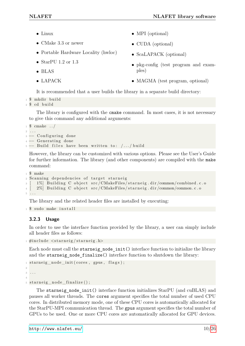- Linux
- CMake 3.3 or newer
- Portable Hardware Locality (hwloc)
- StarPU 1.2 or  $1.3$
- BLAS
- LAPACK
- MPI (optional)
- CUDA (optional)
- ScaLAPACK (optional)
- pkg-config (test program and examples)
- MAGMA (test program, optional)

It is recommended that a user builds the library in a separate build directory:

- 1 \$ mkdir build
- 2 \$ cd build

The library is configured with the cmake command. In most cases, it is not necessary to give this command any additional arguments:

```
1 $ cmake . . /
2 \cdot \ldots3 -- Configuring done
4 −− Generating done
5 -- Build files have been written to: /.../build
```
However, the library can be customized with various options. Please see the User's Guide for further information. The library (and other components) are compiled with the make command:

```
1 $ make
2 Scanning dependencies of target starneig
3 \left[ 1\% \right] Building C object src / CMakeFiles / starneig. dir / common / combined.c. o4 [ 2%] Building C object src/CMakeFiles/starneig.dir/common/common.c.o
5 . . .
```
The library and the related header files are installed by executing:

```
1 \text{ $1$} sudo make install
```
#### <span id="page-10-0"></span>**3.2.3 Usage**

In order to use the interface function provided by the library, a user can simply include all header files as follows:

 $_1$  #include <starneig/starneig.h>

Each node must call the starneig node init() interface function to initialize the library and the starneig node finalize() interface function to shutdown the library:

```
1 starneig_node_init (cores, gpus, flags);
2
3 . . .
4
5 \text{ starneig node } finalize ();
```
The starneig node init() interface function initializes StarPU (and cuBLAS) and pauses all worker threads. The cores argument specifies the total number of used CPU cores. In distributed memory mode, one of these CPU cores is automatically allocated for the StarPU-MPI communication thread. The gpus argument specifies the total number of GPUs to be used. One or more CPU cores are automatically allocated for GPU devices.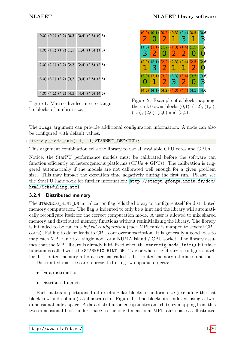<span id="page-11-1"></span>

| $(0,0)$ $(0,1)$ $(0,2)$ $(0,3)$ $(0,4)$ $(0,5)$ $(0,6)$ |  |  |  |
|---------------------------------------------------------|--|--|--|
| $(1,0)$ $(1,1)$ $(1,2)$ $(1,3)$ $(1,4)$ $(1,5)$ $(1,6)$ |  |  |  |
| $(2,0)$ $(2,1)$ $(2,2)$ $(2,3)$ $(2,4)$ $(2,5)$ $(2,6)$ |  |  |  |
| $(3,0)$ $(3,1)$ $(3,2)$ $(3,3)$ $(3,4)$ $(3,5)$ $(3,6)$ |  |  |  |
| $(4,0)$ $(4,1)$ $(4,2)$ $(4,3)$ $(4,4)$ $(4,5)$ $(4,6)$ |  |  |  |

Figure 1: Matrix divided into rectangular blocks of uniform size.



Figure 2: Example of a block mapping: the rank 0 owns blocks  $(0,1)$ ,  $(1,2)$ ,  $(1,5)$ ,  $(1,6)$ ,  $(2,6)$ ,  $(3,0)$  and  $(3,5)$ .

The flags argument can provide additional configuration information. A node can also be configured with default values:

1 starneig\_node\_init (-1, -1, STARNEIG\_DEFAULT);

This argument combination tells the library to use all available CPU cores and GPUs.

Notice, the StarPU performance models must be calibrated before the software can function efficiently on heterogeneous platforms (CPUs  $+$  GPUs). The calibration is triggered automatically if the models are not calibrated well enough for a given problem size. This may impact the execution time negatively during the first run. Please, see the StarPU handbook for further information: [http://starpu.gforge.inria.fr/doc/](http://starpu.gforge.inria.fr/doc/html/Scheduling.html) [html/Scheduling.html](http://starpu.gforge.inria.fr/doc/html/Scheduling.html)

#### <span id="page-11-0"></span>**3.2.4 Distributed memory**

The STARNEIG HINT DM initialization flag tells the library to configure itself for distributed memory computation. The flag is indented to only be a hint and the library will automatically reconfigure itself for the correct computation mode. A user is allowed to mix shared memory and distributed memory functions without reninitializing the library. The library is intended to be run in a *hybrid configuration* (each MPI rank is mapped to several CPU cores). Failing to do so leads to CPU core oversubscription. It is generally a good idea to map each MPI rank to a single node or a NUMA island / CPU socket. The library assumes that the MPI library is already initialized when the starneig node init() interface function is called with the STARNEIG HINT DM flag or when the library reconfigures itself for distributed memory after a user has called a distributed memory interface function.

Distributed matrices are represented using two opaque objects:

- Data distribution
- Distributed matrix

Each matrix is partitioned into rectangular blocks of uniform size (excluding the last block row and column) as illustrated in Figure [1.](#page-11-1) The blocks are indexed using a twodimensional index space. A data distribution encapsulates an arbitrary mapping from this two-dimensional block index space to the one-dimensional MPI rank space as illustrated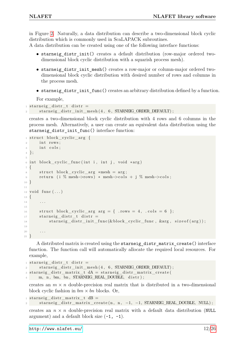in Figure [2.](#page-11-1) Naturally, a data distribution can describe a two-dimensional block cyclic distribution which is commonly used in ScaLAPACK subroutines.

A data distribution can be created using one of the following interface functions:

- starneig distr\_init() creates a default distribution (row-major ordered twodimensional block cyclic distribution with a squarish process mesh).
- starneig\_distr\_init\_mesh() creates a row-major or column-major ordered twodimensional block cyclic distribution with desired number of rows and columns in the process mesh.
- starneig distr\_init\_func() creates an arbitrary distribution defined by a function.

For example,

```
_1 starneig distr t distr =
     starneig_distr_init_mesh(4, 6, STARNEIG_ORDER_DEFAULT);
```
creates a two-dimensional block cyclic distribution with 4 rows and 6 columns in the process mesh. Alternatively, a user can create an equivalent data distribution using the starneig distr\_init\_func() interface function:

```
_1 struct block cyclic arg {
2 int rows;
3 int cols;
4 } ;
5
6 int block cyclic func ( int i, int j, void *arg )
7 {
8 struct block_cyclic_arg *mesh = arg;
9 return (i % mesh->rows) * mesh->cols + j % mesh->cols;
10 }
11
12 void func (\ldots)13 \frac{1}{2}14 . . . .
15
16 struct block_cyclic_arg arg = { .rows = 4, .cols = 6 };
17 starneig_distr_t distr =
18 starneig distr init func(& \text{block cyclic func}, \text{~&arg}, \text{~size of (}arg) );
19
20 . . . .
21 }
```
A distributed matrix is created using the starneig\_distr\_matrix\_create() interface function. The function call will automatically allocate the required local resources. For example,

```
_1 starneig distr t distr =
<sup>2</sup> starneig_distr_init_mesh (4, 6, STARNEIG_ORDER_DEFAULT) ;
3 starneig distr matrix t dA = starneig distr matrix create (
     m, n, bm, bn, STARNEIG REAL DOUBLE, distr);
```
creates an  $m \times n$  double-precision real matrix that is distributed in a two-dimensional block cyclic fashion in  $bm \times bn$  blocks. Or,

 $_1$  starneig\_distr\_matrix\_t dB =  $\text{starneig\_distr\_matrix\_create(n, n, -1, -1, STARNEIG\_REAL\_DOUBLE, NULL)}$  ;

creates an  $n \times n$  double-precision real matrix with a default data distribution (NULL argument) and a default block size  $(-1, -1)$ .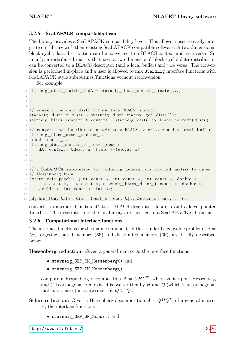# <span id="page-13-0"></span>**3.2.5 ScaLAPACK compatibility layer**

The library provides a ScaLAPACK compatibility layer. This allows a user to easily integrate our library with their existing ScaLAPACK compatible software. A two-dimensional block cyclic data distribution can be converted to a BLACS context and vice versa. Similarly, a distributed matrix that uses a two-dimensional block cyclic data distribution can be converted to a BLACS descriptor (and a local buffer) and vice versa. The conversion is performed in-place and a user is allowed to mix StarNEig interface functions with ScaLAPACK style subroutines/functions without reconversion.

For example,

```
1 starneig distr matrix t dA = starneig distr matrix create (\ldots);
2
3 . . .
4
5 // convert the data distribution to a BLACS context
6 starneig distr t distr = starneig distr matrix get distr(A);
\tau starneig_blacs_context_t context = starneig_distr_to_blacs_context(distr);
8
9 // convert the distributed matrix to a BLACS descriptor and a local buffer
10 starneig_blacs_descr_t descr_a;
11 double *local_a;
12 starneig_distr_matrix_to_blacs_descr(
13 dA, context, &descr_a, (void **)&local_a);
14
15 . . .
16
17 // a ScaLAPACK subroutine for reducing general distributed matrix to upper
18 // Hessenberg form
19 extern void pdgehrd ( int const *, int const *, int const *, double *,
20 int const *, int const *, starneig_blacs_descr_t const *, double *,
21 double *, int const *, int *);
22
23 pdgehrd(\&n, \&\text{ilo}, \&\text{ini}, \text{local}_a, \&\text{ia}, \&\text{j}, \&\text{descr}_a, \text{tau}, \ldots);
```
converts a distributed matrix dA to a BLACS descriptor descr\_a and a local pointer local a. The descriptor and the local array are then fed to a ScaLAPACK subroutine.

#### <span id="page-13-1"></span>**3.2.6 Computational interface functions**

The interface functions for the main components of the standard eigenvalue problem  $Ax =$  $\lambda x$ , targeting shared memory (SM) and distributed memory (DM), are briefly described below.

**Hessenberg reduction:** Given a general matrix *A*, the interface functions

- starneig\_SEP\_SM\_Hessenberg() and
- starneig\_SEP\_DM\_Hessenberg()

compute a Hessenberg decomposition  $A = UHU^T$ , where *H* is upper Hessenberg and *U* is orthogonal. On exit, *A* is overwritten by *H* and *Q* (which is an orthogonal matrix on entry) is overwritten by  $Q \leftarrow QU$ .

- **Schur reduction:** Given a Hessenberg decomposition  $A = QHQ^T$ , of a general matrix *A*, the interface functions
	- starneig\_SEP\_SM\_Schur() and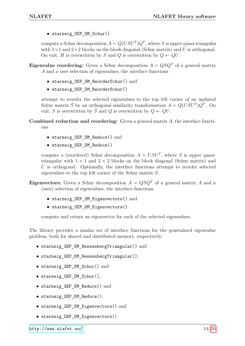• starneig\_SEP\_DM\_Schur()

compute a Schur decomposition  $A = Q(USU^T)Q^T$ , where *S* is upper quasi-triangular with  $1 \times 1$  and  $2 \times 2$  blocks on the block diagonal (Schur matrix) and *U* is orthogonal. On exit, *H* is overwritten by *S* and *Q* is overwritten by  $Q \leftarrow QU$ .

**Eigenvalue reordering:** Given a Schur decomposition  $A = QSQ<sup>T</sup>$  of a general matrix *A* and a user selection of eigenvalues, the interface functions

- starneig\_SEP\_SM\_ReorderSchur() and
- starneig\_SEP\_DM\_ReorderSchur()

attempt to reorder the selected eigenvalues to the top left corner of an updated Schur matrix  $\hat{S}$  by an orthogonal similarity transformation  $A = Q(U\hat{S}U^T)Q^T$ . On exit, *S* is overwritten by  $\hat{S}$  and *Q* is overwritten by  $Q \leftarrow QU$ .

- **Combined reduction and reordering:** Given a general matrix *A*, the interface functions
	- starneig SEP SM Reduce() and
	- starneig SEP DM Reduce()

compute a (reordered) Schur decomposition  $A = USU<sup>T</sup>$ , where *S* is upper quasitriangular with  $1 \times 1$  and  $2 \times 2$  blocks on the block diagonal (Schur matrix) and *U* is orthogonal. Optionally, the interface functions attempt to reorder selected eigenvalues to the top left corner of the Schur matrix *S*.

**Eigenvectors:** Given a Schur decomposition  $A = QSQ^T$  of a general matrix *A* and a (user) selection of eigenvalues, the interface functions

- starneig SEP SM Eigenvectors() and
- starneig\_SEP\_DM\_Eigenvectors()

compute and return an eigenvector for each of the selected eigenvalues.

The library provides a similar set of interface functions for the generalized eigenvalue problem, both for shared and distributed memory, respectively:

- starneig GEP SM HessenbergTriangular() and
- starneig\_GEP\_DM\_HessenbergTriangular(),
- starneig GEP SM Schur() and
- starneig GEP DM Schur(),
- starneig\_GEP\_SM\_Reduce() and
- starneig\_GEP\_DM\_Reduce(),
- starneig GEP SM Eigenvectors() and
- starneig\_GEP\_DM\_Eigenvectors()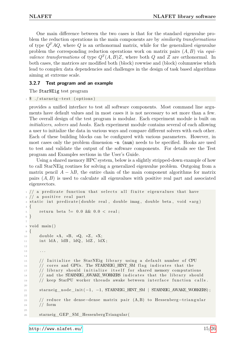One main difference between the two cases is that for the standard eigenvalue problem the reduction operations in the main components are by *similarity transformations* of type  $Q^T A Q$ , where  $Q$  is an orthonormal matrix, while for the generalized eigenvalue problem the corresponding reduction operations work on matrix pairs (*A, B*) via *equivalence transformations* of type  $Q^T(A, B)Z$ , where both *Q* and *Z* are orthonormal. In both cases, the matrices are modified both (block) rowwise and (block) columnwise which lead to complex data dependencies and challenges in the design of task based algorithms aiming at extreme scale.

#### <span id="page-15-0"></span>**3.2.7 Test program and an example**

The StarNEig test program

1 \$ ./starneig-test (options)

provides a unified interface to test all software components. Most command line arguments have default values and in most cases it is not necessary to set more than a few. The overall design of the test program is modular. Each experiment module is built on *initializers*, *solvers* and *hooks*. Each experiment module contains several of each allowing a user to initialize the data in various ways and compare different solvers with each other. Each of these building blocks can be configured with various parameters. However, in most cases only the problem dimension  $-n$  (num) needs to be specified. Hooks are used to test and validate the output of the software components. For details see the Test program and Examples sections in the User's Guide.

Using a shared memory HPC system, below is a slightly stripped-down example of how to call StarNEig routines for solving a generalized eigenvalue problem. Outgoing from a matrix pencil  $A - \lambda B$ , the entire chain of the main component algorithms for matrix pairs  $(A, B)$  is used to calculate all eigenvalues with positive real part and associated eigenvectors.

```
1 // a predicate function that selects all finite eigenvalues that have
2 // a positive real part
3 static int predicate (double real, double imag, double beta, void ∗arg)
4 {
5 return beta != 0.0 \& 0.0 < \text{real};
6 }
7
8 v oid main ( )
9 {
10 d ouble ∗A, ∗B, ∗Q, ∗Z , ∗X;
_{11} int ldA, ldB, ldQ, ldZ, ldX;
12
13 . . .
14
15 // Initialize the StarNEig library using a default number of CPU
16 // cores and GPUs. The STARNEIG_HINT_SM flag indicates that the
17 // library should initialize itself for shared memory computations
18 // and the STARNEIG_AWAKE_WORKERS indicates that the library should
\frac{19}{19} // keep StarPU worker threads awake between interface function calls.
20
21 starneig node init (-1, -1, SITARNEIGHINTSM | STARNEIGAWAKE WORKERS);
22
\frac{23}{7} // reduce the dense-dense matrix pair (A,B) to Hessenberg-triangular
24 // form
25
26 starneig_GEP_SM_HessenbergTriangular (
```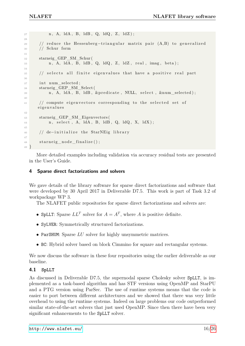```
27 \t n, A, \, dA, B, \, dB, Q, \, dq, Z, \, ddZ);28
29 // reduce the Hessenberg-triangular matrix pair (A,B) to generalized
30 // Schur form
31
32 starneig_GEP_SM_Schur (
\alpha 33 n, A, ldA, B, ldB, Q, ldQ, Z, ldZ, real, imag, beta);
34
\frac{35}{10} // selects all finite eigenvalues that have a positive real part
36
37 int num selected;
38 starneig_GEP_SM_Select (
39 n, A, ldA, B, ldB, &predicate, NULL, select, &num selected ;
40
41 // compute eigenvectors corresponding to the selected set of
     eigenvalues
42
43 starneig_GEP_SM_Eigenvectors (
n, select, A, IdA, B, IdB, Q, IdQ, X, IdX);45
46 // de−initialize the StarNEig library
47
48 starneig_node_finalize();
49 }
```
More detailed examples including validation via accuracy residual tests are presented in the User's Guide.

#### <span id="page-16-0"></span>**4 Sparse direct factorizations and solvers**

We gave details of the library software for sparse direct factorizations and software that were developed by 30 April 2017 in Deliverable D7.5. This work is part of Task 3.2 of workpackage WP 3.

The NLAFET public repositories for sparse direct factorizations and solvers are:

- SpLLT: Sparse  $LL^T$  solver for  $A = A^T$ , where *A* is positive definite.
- SyLVER: Symmetrically structured factorizations.
- ParSHUM: Sparse *LU* solver for highly unsymmetric matrices.
- BC: Hybrid solver based on block Cimmino for square and rectangular systems.

We now discuss the software in these four repositories using the earlier deliverable as our baseline.

#### <span id="page-16-1"></span>**4.1 SpLLT**

As discussed in Deliverable D7.5, the supernodal sparse Cholesky solver SpLLT, is implemented as a task-based algorithm and has STF versions using OpenMP and StarPU and a PTG version using ParSec. The use of runtime systems means that the code is easier to port between different architectures and we showed that there was very little overhead to using the runtime systems. Indeed on large problems our code outperformed similar state-of-the-art solvers that just used OpenMP. Since then there have been very significant enhancements to the SpLLT solver.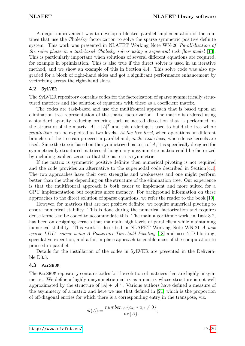A major improvement was to develop a blocked parallel implementation of the routines that use the Cholesky factorization to solve the sparse symmetric positive definite system. This work was presented in NLAFET Working Note WN-20 *Parallelization of the solve phase in a task-based Cholesky solver using a sequential task flow model* [\[13\]](#page-25-4). This is particularly important when solutions of several different equations are required, for example in optimization. This is also true if the direct solver is used in an iterative method, and we show an example of this in Section [4.4.](#page-19-0) This solve code was also upgraded for a block of right-hand sides and got a significant performance enhancement by vectorizing across the right-hand sides.

#### <span id="page-17-0"></span>**4.2 SyLVER**

The SyLVER repository contains codes for the factorization of sparse symmetrically structured matrices and the solution of equations with these as a coefficient matrix.

The codes are task-based and use the multifrontal approach that is based upon an elimination tree representation of the sparse factorization. The matrix is ordered using a standard sparsity reducing ordering such as nested dissection that is performed on the structure of the matrix  $|A| + |A|^T$  and this ordering is used to build the tree where *parallelism* can be exploited at two levels. At the tree level, when operations on different branches of the tree can proceed in parallel and, *at the node level*, when dense kernels are used. Since the tree is based on the symmetrized pattern of *A*, it is specifically designed for symmetrically structured matrices although any unsymmetric matrix could be factorized by including explicit zeros so that the pattern is symmetric.

If the matrix is symmetric positive definite then numerical pivoting is not required and the code provides an alternative to the supernodal code described in Section [4.1.](#page-16-1) The two approaches have their own strengths and weaknesses and one might perform better than the other depending on the structure of the elimination tree. Our experience is that the multifrontal approach is both easier to implement and more suited for a GPU implementation but requires more memory. For background information on these approaches to the direct solution of sparse equations, we refer the reader to the book [\[19\]](#page-25-5).

However, for matrices that are not positive definite, we require numerical pivoting to ensure numerical stability. This is done during the numerical factorization and requires dense kernels to be coded to accommodate this. The main algorithmic work, in Task 3.2, has been on designing kernels that maintain high levels of parallelism while maintaining numerical stability. This work is described in NLAFET Working Note WN-21 *A new sparse LDL<sup>T</sup> solver using A Posteriori Threshold Pivoting* [\[18\]](#page-25-6) and uses 2-D blocking, speculative execution, and a fail-in-place approach to enable most of the computation to proceed in parallel.

Details for the installation of the codes in SyLVER are presented in the Deliverable D3.3.

#### <span id="page-17-1"></span>**4.3 ParSHUM**

The ParSHUM repository contains codes for the solution of matrices that are highly unsymmetric. We define a highly unsymmetric matrix as a matrix whose structure is not well approximated by the structure of  $|A| + |A|^T$ . Various authors have defined a measure of the asymmetry of a matrix and here we use that defined in [\[21\]](#page-25-7) which is the proportion of off-diagonal entries for which there is a corresponding entry in the transpose, viz.

$$
si(A) = \frac{number_{i\neq j}\{a_{ij} * a_{ji} \neq 0\}}{nz\{A\}},
$$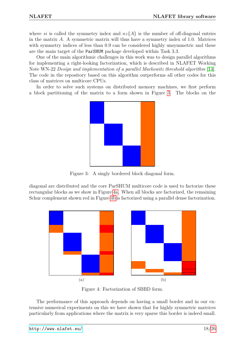where *si* is called the symmetry index and  $nz{A}$  is the number of off-diagonal entries in the matrix *A*. A symmetric matrix will thus have a symmetry index of 1*.*0. Matrices with symmetry indices of less than 0.9 can be considered highly unsymmetric and these are the main target of the ParSHUM package developed within Task 3.3.

One of the main algorithmic challenges in this work was to design parallel algorithms for implementing a right-looking factorization, which is described in NLAFET Working Note WN-22 *Design and implementation of a parallel Markowitz threshold algorithm* [\[14\]](#page-25-8). The code in the repository based on this algorithm outperforms all other codes for this class of matrices on multicore CPUs.

<span id="page-18-0"></span>In order to solve such systems on distributed memory machines, we first perform a block partitioning of the matrix to a form shown in Figure [3.](#page-18-0) The blocks on the



Figure 3: A singly bordered block diagonal form.

diagonal are distributed and the core ParSHUM multicore code is used to factorize these rectangular blocks as we show in Figure [4a.](#page-18-1) When all blocks are factorized, the remaining Schur complement shown red in Figure [4b](#page-18-2) is factorized using a parallel dense factorization.

<span id="page-18-1"></span>

<span id="page-18-2"></span>Figure 4: Factorization of SBBD form.

The performance of this approach depends on having a small border and in our extensive numerical experiments on this we have shown that for highly symmetric matrices particularly from applications where the matrix is very sparse this border is indeed small.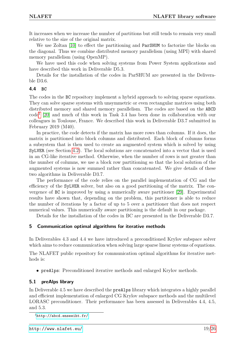It increases when we increase the number of partitions but still tends to remain very small relative to the size of the original matrix.

We use Zoltan [\[10\]](#page-24-7) to effect the partitioning and ParSHUM to factorize the blocks on the diagonal. Thus we combine distributed memory parallelism (using MPI) with shared memory parallelism (using OpenMP).

We have used this code when solving systems from Power System applications and have described this work in Deliverable D5.3.

Details for the installation of the codes in ParSHUM are presented in the Deliverable D3.6.

#### <span id="page-19-0"></span>**4.4 BC**

The codes in the BC repository implement a hybrid approach to solving sparse equations. They can solve sparse systems with unsymmetric or even rectangular matrices using both distributed memory and shared memory parallelism. The codes are based on the ABCD code[1](#page-0-0) [\[20\]](#page-25-9) and much of this work in Task 3.4 has been done in collaboration with our colleagues in Toulouse, France. We described this work in Deliverable D3.7 submitted in February 2019 (M40).

In practice, the code detects if the matrix has more rows than columns. If it does, the matrix is partitioned into block columns and distributed. Each block of columns forms a subsystem that is then used to create an augmented system which is solved by using SyLVER (see Section [4.2\)](#page-17-0). The local solutions are concatenated into a vector that is used in an CG-like iterative method. Otherwise, when the number of rows is not greater than the number of columns, we use a block row partitioning so that the local solution of the augmented systems is now summed rather than concatenated. We give details of these two algorithms in Deliverable D3.7.

The performance of the code relies on the parallel implementation of CG and the efficiency of the SyLVER solver, but also on a good partitioning of the matrix. The convergence of BC is improved by using a numerically aware partitioner [\[29\]](#page-26-2). Experimental results have shown that, depending on the problem, this partitioner is able to reduce the number of iterations by a factor of up to 5 over a partitioner that does not respect numerical values. This numerically aware partitioning is the default in our package.

Details for the installation of the codes in BC are presented in the Deliverable D3.7.

#### <span id="page-19-1"></span>**5 Communication optimal algorithms for iterative methods**

In Deliverables 4.3 and 4.4 we have introduced a preconditioned Krylov subspace solver which aims to reduce communication when solving large sparse linear systems of equations.

The NLAFET public repository for communication optimal algorithms for iterative methods is:

• preAlps: Preconditioned iterative methods and enlarged Krylov methods.

#### <span id="page-19-2"></span>**5.1 preAlps library**

In Deliverable 4.5 we have described the preAlps library which integrates a highly parallel and efficient implementation of enlarged CG Krylov subspace methods and the multilevel LORASC preconditioner. Their performance has been assessed in Deliverables 4.4, 4.5, and 5.3.

 $1$ <http://abcd.enseeiht.fr/>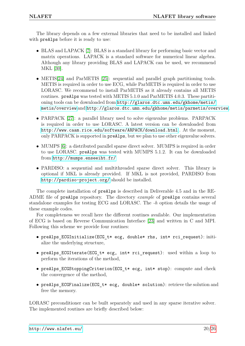The library depends on a few external libraries that need to be installed and linked with preAlps before it is ready to use:

- BLAS and LAPACK [\[7\]](#page-24-8): BLAS is a standard library for performing basic vector and matrix operations. LAPACK is a standard software for numerical linear algebra. Although any library providing BLAS and LAPACK can be used, we recommend MKL [\[30\]](#page-26-3).
- METIS[\[24\]](#page-25-10) and ParMETIS [\[25\]](#page-25-11): sequential and parallel graph partitioning tools. METIS is required in order to use ECG, while ParMETIS is required in order to use LORASC. We recommend to install ParMETIS as it already contains all METIS routines. preAlps was tested with METIS 5.1.0 and ParMETIS 4.0.3. These partitioning tools can be downloaded from [http://glaros.dtc.umn.edu/gkhome/metis/](http://glaros.dtc.umn.edu/gkhome/metis/metis/overview) [metis/overview](http://glaros.dtc.umn.edu/gkhome/metis/metis/overview) and <http://glaros.dtc.umn.edu/gkhome/metis/parmetis/overview>.
- PARPACK [\[27\]](#page-26-4): a parallel library used to solve eigenvalue problems. PARPACK is required in order to use LORASC. A latest version can be downloaded from <http://www.caam.rice.edu/software/ARPACK/download.html> . At the moment, only PARPACK is supported in preAlps, but we plan to use other eigenvalue solvers.
- MUMPS [\[6\]](#page-24-9): a distributed parallel sparse direct solver. MUMPS is required in order to use LORASC. preAlps was tested with MUMPS 5.1.2. It can be downloaded from <http://mumps.enseeiht.fr/>
- PARDISO: a sequential and multithreaded sparse direct solver. This library is optional if MKL is already provided. If MKL is not provided, PARDISO from <http://pardiso-project.org/> should be installed.

The complete installation of preAlps is described in Deliverable 4.5 and in the RE-ADME file of preAlps repository. The directory *example* of preAlps contains several standalone examples for testing ECG and LORASC. The *-h* option details the usage of these example codes.

For completeness we recall here the different routines available. Our implementation of ECG is based on Reverse Communication Interface [\[23\]](#page-25-12) and written in C and MPI. Following this scheme we provide four routines:

- preAlps\_ECGInitialize(ECG\_t\* ecg, double\* rhs, int\* rci\_request): initialize the underlying structure,
- preAlps ECGIterate(ECG t\* ecg, int\* rci request): used within a loop to perform the iterations of the method,
- preAlps ECGStoppingCriterion(ECG t\* ecg, int\* stop): compute and check the convergence of the method,
- preAlps\_ECGFinalize(ECG\_t\* ecg, double\* solution): retrieve the solution and free the memory.

LORASC preconditioner can be built separately and used in any sparse iterative solver. The implemented routines are briefly described below: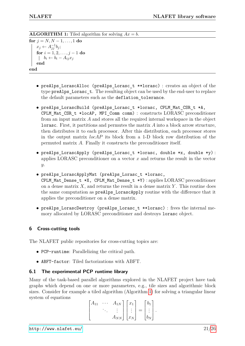**ALGORITHM 1:** Tiled algorithm for solving  $Ax = b$ .

<span id="page-21-2"></span>**for**  $j = N, N - 1, ..., 1$  **do**  $x_j \leftarrow A_{jj}^{-1} b_j;$ **for**  $i = 1, 2, ..., j - 1$  **do**  $b_i$  ←  $b_i$  −  $A_{ij}x_j$ **end end**

- preAlps LorascAlloc (preAlps Lorasc t \*\*lorasc) : creates an object of the type preAlps Lorasc t. The resulting object can be used by the end-user to replace the default parameters such as the deflation tolerance.
- preAlps\_LorascBuild (preAlps\_Lorasc\_t \*lorasc, CPLM\_Mat\_CSR\_t \*A, CPLM\_Mat\_CSR\_t \*locAP, MPI\_Comm comm) : constructs LORASC preconditioner from an input matrix *A* and stores all the required internal workspace in the object lorasc. First, it partitions and permutes the matrix *A* into a block arrow structure, then distributes it to each processor. After this distribution, each processor stores in the output matrix *locAP* its block from a 1-D block row distribution of the permuted matrix *A*. Finally it constructs the preconditioner itself.
- preAlps LorascApply (preAlps Lorasc t \*lorasc, double \*x, double \*y) : applies LORASC preconditioner on a vector *x* and returns the result in the vector *y*.
- preAlps\_LorascApplyMat (preAlps\_Lorasc\_t \*lorasc, CPLM\_Mat\_Dense\_t \*X, CPLM\_Mat\_Dense\_t \*Y) : applies LORASC preconditioner on a dense matrix  $X$ , and returns the result in a dense matrix  $Y$ . This routine does the same computation as preAlps\_LorascApply routine with the difference that it applies the preconditioner on a dense matrix.
- preAlps\_LorascDestroy (preAlps\_Lorasc\_t \*\*lorasc) : frees the internal memory allocated by LORASC preconditioner and destroys lorasc object.

# <span id="page-21-0"></span>**6 Cross-cutting tools**

The NLAFET public repositories for cross-cutting topics are:

- PCP-runtime: Parallelizing the critical path.
- ABFT-factor: Tiled factorizations with ABFT.

# <span id="page-21-1"></span>**6.1 The experimental PCP runtime library**

Many of the task-based parallel algorithms explored in the NLAFET project have task graphs which depend on one or more parameters, e.g., tile sizes and algorithmic block sizes. Consider for example a tiled algorithm (Algorithm [1\)](#page-21-2) for solving a triangular linear system of equations

$$
\begin{bmatrix} A_{11} & \cdots & A_{1N} \\ & \ddots & \vdots \\ & & A_{NN} \end{bmatrix} \begin{bmatrix} x_1 \\ \vdots \\ x_N \end{bmatrix} = \begin{bmatrix} b_1 \\ \vdots \\ b_N \end{bmatrix}.
$$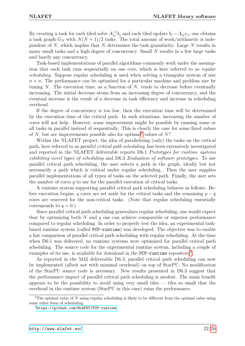By creating a task for each tiled solve  $A_{jj}^{-1}b_j$  and each tiled update  $b_i - A_{ij}x_j$ , one obtains a task graph  $G_N$  with  $N(N+1)/2$  tasks. The total amount of work/arithmetic is independent of *N*, which implies that *N* determines the task granularity. Large *N* results in many small tasks and a high degree of concurrency. Small *N* results in a few large tasks and barely any concurrency.

Task-based implementations of parallel algorithms commonly work under the assumption that each task runs sequentially on one core, which is here referred to as *regular scheduling*. Suppose regular scheduling is used when solving a triangular system of size  $n \times n$ . The performance can be optimized for a particular machine and problem size by tuning *N*. The execution time, as a function of *N*, tends to decrease before eventually increasing. The initial decrease stems from an increasing degree of concurrency, and the eventual increase is the result of a decrease in task efficiency and increase in scheduling overhead.

If the degree of concurrency is too low, then the execution time will be determined by the execution time of the critical path. In such situations, increasing the number of cores will not help. However, some improvement might be possible by running some or all tasks in parallel instead of sequentially. This is clearly the case for some fixed values of *N*, but are improvements possible also for optimal[2](#page-0-0) values of *N*?

Within the NLAFET project, the idea of parallelizing (only) the tasks on the critical path, here referred to as *parallel critical path scheduling*, has been extensively investigated and reported in the NLAFET deliverable reports D6.1 *Prototypes for runtime systems exhibiting novel types of scheduling* and D6.3 *Evaluation of software prototypes*. To use parallel critical path scheduling, the user selects a path in the graph, ideally but not necessarily a path which is critical under regular scheduling. Then the user supplies parallel implementations of all types of tasks on the selected path. Finally, the user sets the number of cores *q* to use for the parallel execution of critical tasks.

A runtime system supporting parallel critical path scheduling behaves as follows. Before execution begins, *q* cores are set aside for the critical tasks and the remaining  $p - q$ cores are reserved for the non-critical tasks. (Note that regular scheduling essentially corresponds to  $q = 0$ .)

Since parallel critical path scheduling generalizes regular scheduling, one would expect that by optimizing both *N* and *q* one can achieve comparable or superior performance compared to regular scheduling. In order to properly test the idea, an experimental taskbased runtime system (called PCP-runtime) was developed. The objective was to enable a fair comparison of parallel critical path scheduling with regular scheduling. At the time when D6.1 was delivered, no runtime systems were optimized for parallel critical path scheduling. The source code for the experimental runtime system, including a couple of examples of its use, is available for download in the PCP-runtime repository<sup>[3](#page-0-0)</sup>.

As reported in the M42 deliverable D6.3, parallel critical path scheduling can now be implemented (albeit not with minimal overhead) on top of StarPU. No modification of the StarPU source code is necessary. New results presented in D6.3 suggest that the performance impact of parallel critical path scheduling is modest. The main benefit appears to be the possibility to avoid using very small tiles — tiles so small that the overhead in the runtime system (StarPU in this case) ruins the performance.

<sup>&</sup>lt;sup>2</sup>The optimal value of *N* using regular scheduling is likely to be different from the optimal value using some other form of scheduling.

<sup>3</sup><https://github.com/NLAFET/PCP-runtime>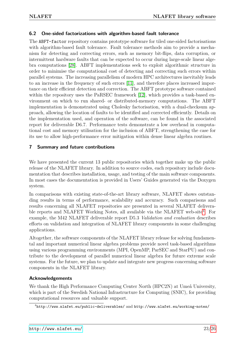# <span id="page-23-0"></span>**6.2 One-sided factorizations with algorithm-based fault tolerance**

The ABFT-factor repository contains prototype software for tiled one-sided factorisations with algorithm-based fault tolerance. Fault tolerance methods aim to provide a mechanism for detecting and correcting errors, such as memory bit-flips, data corruption, or intermittent hardware faults that can be expected to occur during large-scale linear algebra computations [\[28\]](#page-26-5). ABFT implementations seek to exploit algorithmic structure in order to minimise the computational cost of detecting and correcting such errors within parallel systems. The increasing parallelism of modern HPC architectures inevitably leads to an increase in the frequency of such errors [\[11\]](#page-24-10), and therefore places increased importance on their efficient detection and correction. The ABFT prototype software contained within the repository uses the PaRSEC framework [\[12\]](#page-24-11), which provides a task-based environment on which to run shared- or distributed-memory computations. The ABFT implementation is demonstrated using Cholesky factorisation, with a dual-checksum approach, allowing the location of faults to be identified and corrected efficiently. Details on the implementation used, and operation of the software, can be found in the associated report for deliverable D6.7. Performance tests demonstrate a low overhead in computational cost and memory utilisation for the inclusion of ABFT, strengthening the case for its use to allow high-performance error mitigation within dense linear algebra routines.

# <span id="page-23-1"></span>**7 Summary and future contributions**

We have presented the current 13 public repositories which together make up the public release of the NLAFET library. In addition to source codes, each repository include documentation that describes installation, usage, and testing of the main software components. In most cases the documentation is provided in Users' Guides generated via the Doxygen system.

In comparisons with existing state-of-the-art library software, NLAFET shows outstanding results in terms of performance, scalability and accuracy. Such comparisons and results concerning all NLAFET repositories are presented in several NLAFET delivera-ble reports and NLAFET Working Notes, all available via the NLAFET web-site<sup>[4](#page-0-0)</sup>. For example, the M42 NLAFET deliverable report D5.3 *Validation and evaluation* describes efforts on validation and integration of NLAFET library components in some challenging applications.

Altogether, the software components of the NLAFET library release for solving fundamental and important numerical linear algebra problems provide novel task-based algorithms using various programming environments (MPI, OpenMP, ParSEC and StarPU) and contribute to the development of parallel numerical linear algebra for future extreme scale systems. For the future, we plan to update and integrate new progress concerning software components in the NLAFET library.

# **Acknowledgements**

We thank the High Performance Computing Center North (HPC2N) at Umeå University, which is part of the Swedish National Infrastructure for Computing (SNIC), for providing computational resources and valuable support.

<sup>4</sup>http://www.nlafet.eu/public-deliverables/ and http://www.nlafet.eu/working-notes/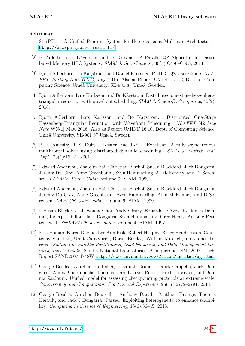#### **References**

- <span id="page-24-2"></span>[1] StarPU — A Unified Runtime System for Heterogeneous Multicore Architectures. <http://starpu.gforge.inria.fr/>.
- <span id="page-24-3"></span>[2] B. Adlerborn, B. Kågström, and D. Kressner. A Parallel QZ Algorithm for Distributed Memory HPC Systems. *SIAM J. Sci. Comput.*, 36(5):C480–C503, 2014.
- <span id="page-24-4"></span>[3] Björn Adlerborn, Bo Kågström, and Daniel Kressner. PDHGEQZ User Guide. *NLA-FET Working Note* [WN-2,](http://www.nlafet.eu/wp-content/uploads/2016/01/NLAFET-WN2-Adlerborn-Kagstrom-Kressner-161111.pdf) May, 2016. Also as Report UMINF 15.12, Dept. of Computing Science, Umeå University, SE-901 87 Umeå, Sweden.
- <span id="page-24-6"></span>[4] Björn Adlerborn, Lars Karlsson, and Bo Kågström. Distributed one-stage hessenbergtriangular reduction with wavefront scheduling. *SIAM J. Scientific Computing*, 40(2), 2018.
- <span id="page-24-5"></span>[5] Björn Adlerborn, Lars Karlsson, and Bo Kågström. Distributed One-Stage Hessenberg-Triangular Reduction with Wavefront Scheduling. *NLAFET Working Note* [WN-1,](http://www.nlafet.eu/wp-content/uploads/2016/01/NLAFET-WN1-Adlerborn-Karlsson-Kagstrom-161111.pdf) May, 2016. Also as Report UMINF 16.10, Dept. of Computing Science, Umeå University, SE-901 87 Umeå, Sweden.
- <span id="page-24-9"></span>[6] P. R. Amestoy, I. S. Duff, J. Koster, and J.-Y. L'Excellent. A fully asynchronous multifrontal solver using distributed dynamic scheduling. *SIAM J. Matrix Anal. Appl.*, 23(1):15–41, 2001.
- <span id="page-24-8"></span>[7] Edward Anderson, Zhaojun Bai, Christian Bischof, Susan Blackford, Jack Dongarra, Jeremy Du Croz, Anne Greenbaum, Sven Hammarling, A. McKenney, and D. Sorensen. *LAPACK User's Guide*, volume 9. SIAM, 1999.
- <span id="page-24-0"></span>[8] Edward Anderson, Zhaojun Bai, Christian Bischof, Susan Blackford, Jack Dongarra, Jeremy Du Croz, Anne Greenbaum, Sven Hammarling, Alan McKenney, and D Sorensen. *LAPACK Users' guide*, volume 9. SIAM, 1999.
- <span id="page-24-1"></span>[9] L Susan Blackford, Jaeyoung Choi, Andy Cleary, Eduardo D'Azevedo, James Demmel, Inderjit Dhillon, Jack Dongarra, Sven Hammarling, Greg Henry, Antoine Petitet, et al. *ScaLAPACK users' guide*, volume 4. SIAM, 1997.
- <span id="page-24-7"></span>[10] Erik Boman, Karen Devine, Lee Ann Fisk, Robert Heaphy, Bruce Hendrickson, Courtenay Vaughan, Umit Catalyurek, Doruk Bozdag, William Mitchell, and James Teresco. *Zoltan 3.0: Parallel Partitioning, Load-balancing, and Data Management Services; User's Guide*. Sandia National Laboratories, Albuquerque, NM, 2007. Tech. Report SAND2007-4748W [http://www.cs.sandia.gov/Zoltan/ug\\_html/ug.html](http://www.cs.sandia.gov/Zoltan/ug_html/ug.html).
- <span id="page-24-10"></span>[11] George Bosilca, Aurélien Bouteiller, Elisabeth Brunet, Franck Cappello, Jack Dongarra, Amina Guermouche, Thomas Herault, Yves Robert, Frédéric Vivien, and Dounia Zaidouni. Unified model for assessing checkpointing protocols at extreme-scale. *Concurrency and Computation: Practice and Experience*, 26(17):2772–2791, 2014.
- <span id="page-24-11"></span>[12] George Bosilca, Aurelien Bouteiller, Anthony Danalis, Mathieu Faverge, Thomas Hérault, and Jack J Dongarra. Parsec: Exploiting heterogeneity to enhance scalability. *Computing in Science & Engineering*, 15(6):36–45, 2013.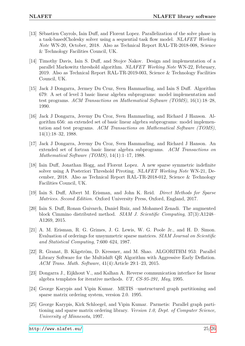- <span id="page-25-4"></span>[13] Sébastien Cayrols, Iain Duff, and Florent Lopez. Parallelization of the solve phase in a task-basedCholesky solver using a sequential task flow model. *NLAFET Working Note* WN-20, October, 2018. Also as Technical Report RAL-TR-2018-008, Science & Technology Facilities Council, UK.
- <span id="page-25-8"></span>[14] Timothy Davis, Iain S. Duff, and Stojce Nakov. Design and implementation of a parallel Markowitz threshold algorithm. *NLAFET Working Note* WN-22, February, 2019. Also as Technical Report RAL-TR-2019-003, Science & Technology Facilities Council, UK.
- <span id="page-25-2"></span>[15] Jack J Dongarra, Jermey Du Cruz, Sven Hammarling, and Iain S Duff. Algorithm 679: A set of level 3 basic linear algebra subprograms: model implementation and test programs. *ACM Transactions on Mathematical Software (TOMS)*, 16(1):18–28, 1990.
- <span id="page-25-1"></span>[16] Jack J Dongarra, Jeremy Du Croz, Sven Hammarling, and Richard J Hanson. Algorithm 656: an extended set of basic linear algebra subprograms: model implementation and test programs. *ACM Transactions on Mathematical Software (TOMS)*, 14(1):18–32, 1988.
- <span id="page-25-0"></span>[17] Jack J Dongarra, Jeremy Du Croz, Sven Hammarling, and Richard J Hanson. An extended set of fortran basic linear algebra subprograms. *ACM Transactions on Mathematical Software (TOMS)*, 14(1):1–17, 1988.
- <span id="page-25-6"></span>[18] Iain Duff, Jonathan Hogg, and Florent Lopez. A new sparse symmetric indefinite solver using A Posteriori Threshold Pivoting. *NLAFET Working Note* WN-21, December, 2018. Also as Technical Report RAL-TR-2018-012, Science & Technology Facilities Council, UK.
- <span id="page-25-5"></span>[19] Iain S. Duff, Albert M. Erisman, and John K. Reid. *Direct Methods for Sparse Matrices. Second Edition.* Oxford University Press, Oxford, England, 2017.
- <span id="page-25-9"></span>[20] Iain S. Duff, Ronan Guivarch, Daniel Ruiz, and Mohamed Zenadi. The augmented block Cimmino distributed method. *SIAM J. Scientific Computing*, 37(3):A1248– A1269, 2015.
- <span id="page-25-7"></span>[21] A. M. Erisman, R. G. Grimes, J. G. Lewis, W. G. Poole Jr., and H. D. Simon. Evaluation of orderings for unsymmetric sparse matrices. *SIAM Journal on Scientific and Statistical Computing*, 7:600–624, 1987.
- <span id="page-25-3"></span>[22] R. Granat, B. Kågström, D. Kressner, and M. Shao. ALGORITHM 953: Parallel Library Software for the Multishift QR Algorithm with Aggressive Early Deflation. *ACM Trans. Math. Software*, 41(4):Article 29:1–23, 2015.
- <span id="page-25-12"></span>[23] Dongarra J., Eijkhout V., and Kalhan A. Reverse communication interface for linear algebra templates for iterative methods. *UT, CS-95-291, May*, 1995.
- <span id="page-25-10"></span>[24] George Karypis and Vipin Kumar. METIS –unstructured graph partitioning and sparse matrix ordering system, version 2.0. 1995.
- <span id="page-25-11"></span>[25] George Karypis, Kirk Schloegel, and Vipin Kumar. Parmetis: Parallel graph partitioning and sparse matrix ordering library. *Version 1.0, Dept. of Computer Science, University of Minnesota*, 1997.